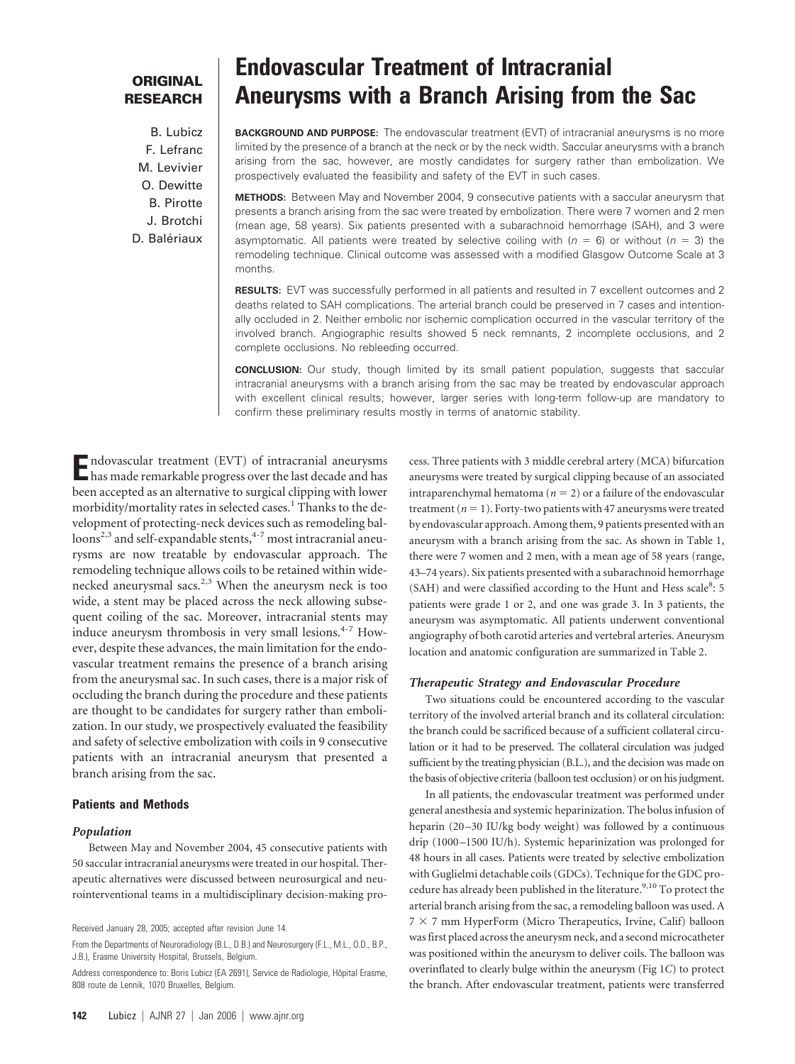## **ORIGINAL RESEARCH**

B. Lubicz F. Lefranc M. Levivier O. Dewitte B. Pirotte J. Brotchi D. Balériaux

# **Endovascular Treatment of Intracranial Aneurysms with a Branch Arising from the Sac**

**BACKGROUND AND PURPOSE:** The endovascular treatment (EVT) of intracranial aneurysms is no more limited by the presence of a branch at the neck or by the neck width. Saccular aneurysms with a branch arising from the sac, however, are mostly candidates for surgery rather than embolization. We prospectively evaluated the feasibility and safety of the EVT in such cases.

**METHODS:** Between May and November 2004, 9 consecutive patients with a saccular aneurysm that presents a branch arising from the sac were treated by embolization. There were 7 women and 2 men (mean age, 58 years). Six patients presented with a subarachnoid hemorrhage (SAH), and 3 were asymptomatic. All patients were treated by selective coiling with  $(n = 6)$  or without  $(n = 3)$  the remodeling technique. Clinical outcome was assessed with a modified Glasgow Outcome Scale at 3 months.

**RESULTS:** EVT was successfully performed in all patients and resulted in 7 excellent outcomes and 2 deaths related to SAH complications. The arterial branch could be preserved in 7 cases and intentionally occluded in 2. Neither embolic nor ischemic complication occurred in the vascular territory of the involved branch. Angiographic results showed 5 neck remnants, 2 incomplete occlusions, and 2 complete occlusions. No rebleeding occurred.

**CONCLUSION:** Our study, though limited by its small patient population, suggests that saccular intracranial aneurysms with a branch arising from the sac may be treated by endovascular approach with excellent clinical results; however, larger series with long-term follow-up are mandatory to confirm these preliminary results mostly in terms of anatomic stability.

**E**ndovascular treatment (EVT) of intracranial aneurysms has made remarkable progress over the last decade and has been accepted as an alternative to surgical clipping with lower morbidity/mortality rates in selected cases.<sup>1</sup> Thanks to the development of protecting-neck devices such as remodeling balloons<sup>2,3</sup> and self-expandable stents,<sup>4-7</sup> most intracranial aneurysms are now treatable by endovascular approach. The remodeling technique allows coils to be retained within widenecked aneurysmal sacs. $2,3$  When the aneurysm neck is too wide, a stent may be placed across the neck allowing subsequent coiling of the sac. Moreover, intracranial stents may induce aneurysm thrombosis in very small lesions.<sup>4-7</sup> However, despite these advances, the main limitation for the endovascular treatment remains the presence of a branch arising from the aneurysmal sac. In such cases, there is a major risk of occluding the branch during the procedure and these patients are thought to be candidates for surgery rather than embolization. In our study, we prospectively evaluated the feasibility and safety of selective embolization with coils in 9 consecutive patients with an intracranial aneurysm that presented a branch arising from the sac.

## **Patients and Methods**

#### *Population*

Between May and November 2004, 45 consecutive patients with 50 saccular intracranial aneurysms were treated in our hospital. Therapeutic alternatives were discussed between neurosurgical and neurointerventional teams in a multidisciplinary decision-making process. Three patients with 3 middle cerebral artery (MCA) bifurcation aneurysms were treated by surgical clipping because of an associated intraparenchymal hematoma ( $n = 2$ ) or a failure of the endovascular treatment  $(n = 1)$ . Forty-two patients with 47 aneurysms were treated by endovascular approach. Among them, 9 patients presented with an aneurysm with a branch arising from the sac. As shown in Table 1, there were 7 women and 2 men, with a mean age of 58 years (range, 43–74 years). Six patients presented with a subarachnoid hemorrhage (SAH) and were classified according to the Hunt and Hess scale<sup>8</sup>: 5 patients were grade 1 or 2, and one was grade 3. In 3 patients, the aneurysm was asymptomatic. All patients underwent conventional angiography of both carotid arteries and vertebral arteries. Aneurysm location and anatomic configuration are summarized in Table 2.

#### *Therapeutic Strategy and Endovascular Procedure*

Two situations could be encountered according to the vascular territory of the involved arterial branch and its collateral circulation: the branch could be sacrificed because of a sufficient collateral circulation or it had to be preserved. The collateral circulation was judged sufficient by the treating physician (B.L.), and the decision was made on the basis of objective criteria (balloon test occlusion) or on his judgment.

In all patients, the endovascular treatment was performed under general anesthesia and systemic heparinization. The bolus infusion of heparin (20-30 IU/kg body weight) was followed by a continuous drip (1000 –1500 IU/h). Systemic heparinization was prolonged for 48 hours in all cases. Patients were treated by selective embolization with Guglielmi detachable coils (GDCs). Technique for the GDC procedure has already been published in the literature.<sup>9,10</sup> To protect the arterial branch arising from the sac, a remodeling balloon was used. A  $7 \times 7$  mm HyperForm (Micro Therapeutics, Irvine, Calif) balloon was first placed across the aneurysm neck, and a second microcatheter was positioned within the aneurysm to deliver coils. The balloon was overinflated to clearly bulge within the aneurysm (Fig 1*C*) to protect the branch. After endovascular treatment, patients were transferred

Received January 28, 2005; accepted after revision June 14.

From the Departments of Neuroradiology (B.L., D.B.) and Neurosurgery (F.L., M.L., O.D., B.P., J.B.), Erasme University Hospital, Brussels, Belgium.

Address correspondence to: Boris Lubicz (EA 2691), Service de Radiologie, Hôpital Erasme, 808 route de Lennik, 1070 Bruxelles, Belgium.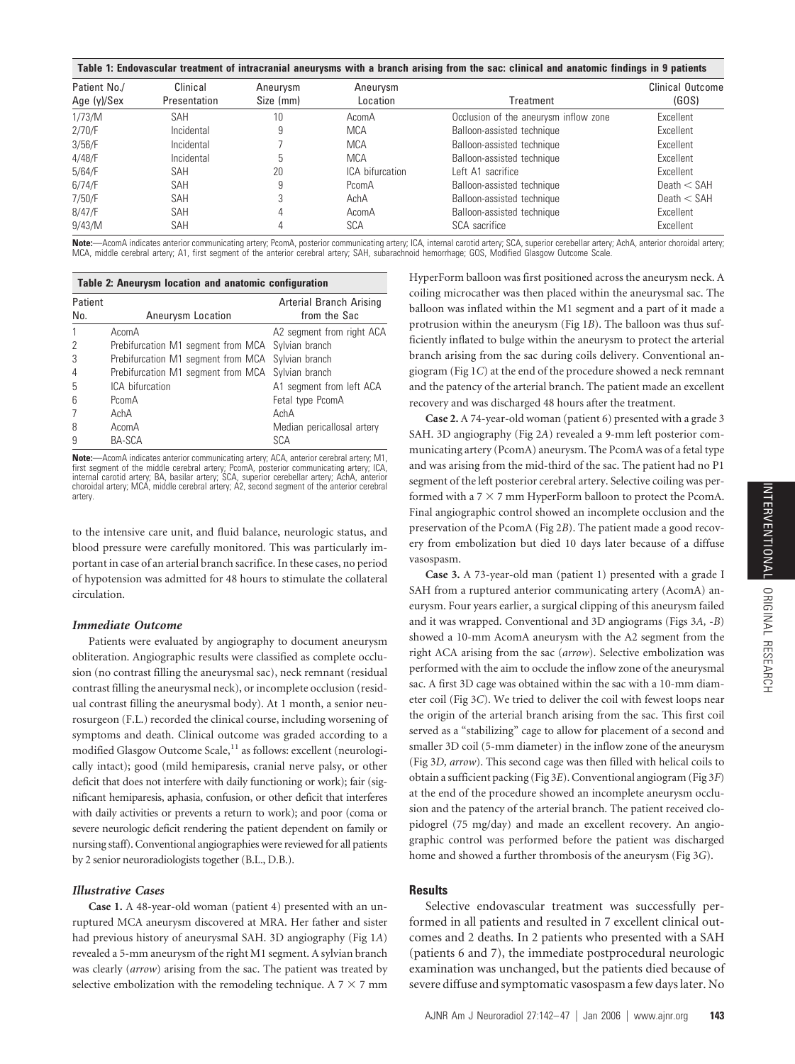#### **Table 1: Endovascular treatment of intracranial aneurysms with a branch arising from the sac: clinical and anatomic findings in 9 patients**

| Patient No./   | Clinical     | Aneurysm  | Aneurysm        |                                       | Clinical Outcome |
|----------------|--------------|-----------|-----------------|---------------------------------------|------------------|
| Age $(y)/$ Sex | Presentation | Size (mm) | Location        | Treatment                             | (GOS)            |
| 1/73/M         | <b>SAH</b>   | $10 \,$   | AcomA           | Occlusion of the aneurysm inflow zone | Excellent        |
| 2/70/F         | Incidental   | 9         | <b>MCA</b>      | Balloon-assisted technique            | Excellent        |
| 3/56/F         | Incidental   |           | <b>MCA</b>      | Balloon-assisted technique            | Excellent        |
| $4/48$ /F      | Incidental   |           | <b>MCA</b>      | Balloon-assisted technique            | Excellent        |
| 5/64/F         | SAH          | 20        | ICA bifurcation | Left A1 sacrifice                     | Excellent        |
| 6/74/F         | SAH          | 9         | PcomA           | Balloon-assisted technique            | Death $<$ SAH    |
| 7/50/F         | SAH          |           | AchA            | Balloon-assisted technique            | Death $<$ SAH    |
| 8/47/F         | SAH          |           | AcomA           | Balloon-assisted technique            | Excellent        |
| 9/43/M         | SAH          |           | SCA             | SCA sacrifice                         | Excellent        |

**Note:**—AcomA indicates anterior communicating artery; PcomA, posterior communicating artery; ICA, internal carotid artery; SCA, superior cerebellar artery; AchA, anterior choroidal artery;<br>MCA, middle cerebral artery; A1,

| Table 2: Aneurysm location and anatomic configuration |                                                   |                            |  |  |  |  |
|-------------------------------------------------------|---------------------------------------------------|----------------------------|--|--|--|--|
| Patient                                               |                                                   | Arterial Branch Arising    |  |  |  |  |
| No.                                                   | Aneurysm Location                                 | from the Sac               |  |  |  |  |
|                                                       | AcomA                                             | A2 segment from right ACA  |  |  |  |  |
| 2                                                     | Prebifurcation M1 segment from MCA Sylvian branch |                            |  |  |  |  |
| 3                                                     | Prebifurcation M1 segment from MCA Sylvian branch |                            |  |  |  |  |
| $\overline{4}$                                        | Prebifurcation M1 segment from MCA Sylvian branch |                            |  |  |  |  |
| 5                                                     | ICA bifurcation                                   | A1 segment from left ACA   |  |  |  |  |
| 6                                                     | PcomA                                             | Fetal type PcomA           |  |  |  |  |
|                                                       | AchA                                              | AchA                       |  |  |  |  |
| 8                                                     | AcomA                                             | Median pericallosal artery |  |  |  |  |
| 9                                                     | <b>BA-SCA</b>                                     | SCA                        |  |  |  |  |

**Note:**—AcomA indicates anterior communicating artery; ACA, anterior cerebral artery; M1, first segment of the middle cerebral artery; PcomA, posterior communicating artery; ICA, internal carotid artery; BA, basilar artery; SCA, superior cerebellar artery; AchA, anterior choroidal artery; MCA, middle cerebral artery; A2, second segment of the anterior cerebral artery.

to the intensive care unit, and fluid balance, neurologic status, and blood pressure were carefully monitored. This was particularly important in case of an arterial branch sacrifice. In these cases, no period of hypotension was admitted for 48 hours to stimulate the collateral circulation.

#### *Immediate Outcome*

Patients were evaluated by angiography to document aneurysm obliteration. Angiographic results were classified as complete occlusion (no contrast filling the aneurysmal sac), neck remnant (residual contrast filling the aneurysmal neck), or incomplete occlusion (residual contrast filling the aneurysmal body). At 1 month, a senior neurosurgeon (F.L.) recorded the clinical course, including worsening of symptoms and death. Clinical outcome was graded according to a modified Glasgow Outcome Scale,<sup>11</sup> as follows: excellent (neurologically intact); good (mild hemiparesis, cranial nerve palsy, or other deficit that does not interfere with daily functioning or work); fair (significant hemiparesis, aphasia, confusion, or other deficit that interferes with daily activities or prevents a return to work); and poor (coma or severe neurologic deficit rendering the patient dependent on family or nursing staff). Conventional angiographies were reviewed for all patients by 2 senior neuroradiologists together (B.L., D.B.).

#### *Illustrative Cases*

**Case 1.** A 48-year-old woman (patient 4) presented with an unruptured MCA aneurysm discovered at MRA. Her father and sister had previous history of aneurysmal SAH. 3D angiography (Fig 1*A*) revealed a 5-mm aneurysm of the right M1 segment. A sylvian branch was clearly (*arrow*) arising from the sac. The patient was treated by selective embolization with the remodeling technique. A  $7 \times 7$  mm

HyperForm balloon was first positioned across the aneurysm neck. A coiling microcather was then placed within the aneurysmal sac. The balloon was inflated within the M1 segment and a part of it made a protrusion within the aneurysm (Fig 1*B*). The balloon was thus sufficiently inflated to bulge within the aneurysm to protect the arterial branch arising from the sac during coils delivery. Conventional angiogram (Fig 1*C*) at the end of the procedure showed a neck remnant and the patency of the arterial branch. The patient made an excellent recovery and was discharged 48 hours after the treatment.

**Case 2.** A 74-year-old woman (patient 6) presented with a grade 3 SAH. 3D angiography (Fig 2*A*) revealed a 9-mm left posterior communicating artery (PcomA) aneurysm. The PcomA was of a fetal type and was arising from the mid-third of the sac. The patient had no P1 segment of the left posterior cerebral artery. Selective coiling was performed with a  $7 \times 7$  mm HyperForm balloon to protect the PcomA. Final angiographic control showed an incomplete occlusion and the preservation of the PcomA (Fig 2*B*). The patient made a good recovery from embolization but died 10 days later because of a diffuse vasospasm.

**Case 3.** A 73-year-old man (patient 1) presented with a grade I SAH from a ruptured anterior communicating artery (AcomA) aneurysm. Four years earlier, a surgical clipping of this aneurysm failed and it was wrapped. Conventional and 3D angiograms (Figs 3*A,* -*B*) showed a 10-mm AcomA aneurysm with the A2 segment from the right ACA arising from the sac (*arrow*). Selective embolization was performed with the aim to occlude the inflow zone of the aneurysmal sac. A first 3D cage was obtained within the sac with a 10-mm diameter coil (Fig 3*C*). We tried to deliver the coil with fewest loops near the origin of the arterial branch arising from the sac. This first coil served as a "stabilizing" cage to allow for placement of a second and smaller 3D coil (5-mm diameter) in the inflow zone of the aneurysm (Fig 3*D, arrow*). This second cage was then filled with helical coils to obtain a sufficient packing (Fig 3*E*). Conventional angiogram (Fig 3*F*) at the end of the procedure showed an incomplete aneurysm occlusion and the patency of the arterial branch. The patient received clopidogrel (75 mg/day) and made an excellent recovery. An angiographic control was performed before the patient was discharged home and showed a further thrombosis of the aneurysm (Fig 3*G*).

## **Results**

Selective endovascular treatment was successfully performed in all patients and resulted in 7 excellent clinical outcomes and 2 deaths. In 2 patients who presented with a SAH (patients 6 and 7), the immediate postprocedural neurologic examination was unchanged, but the patients died because of severe diffuse and symptomatic vasospasm a few days later. No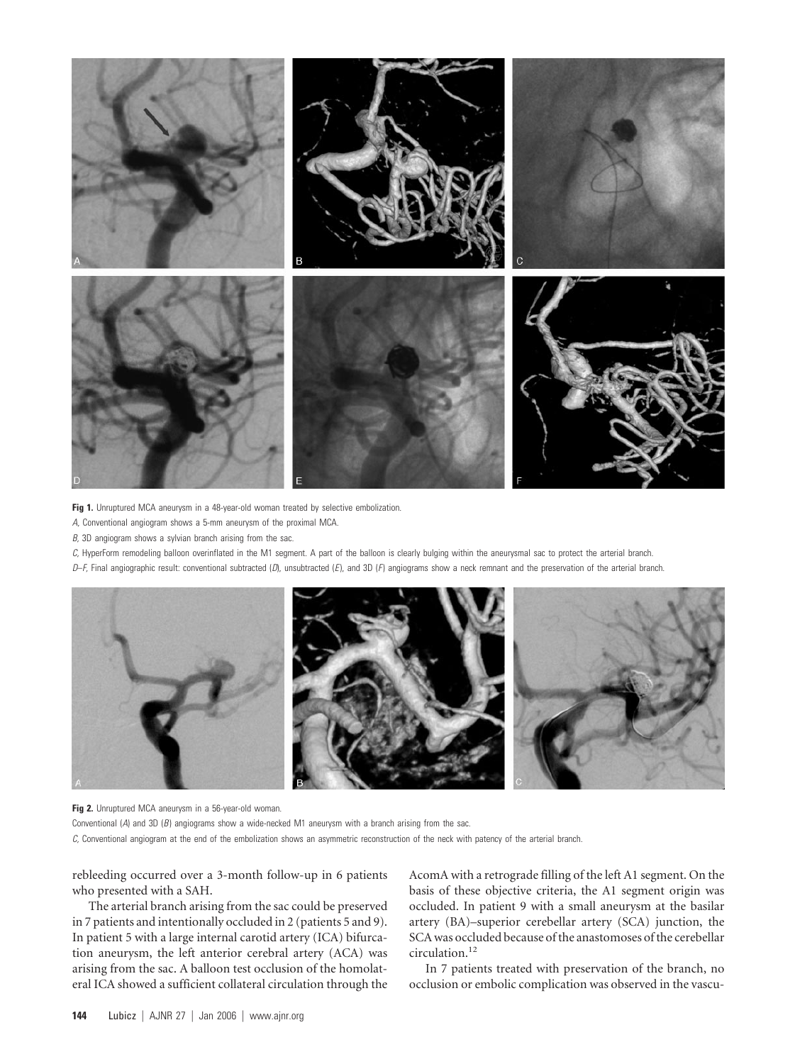

Fig 1. Unruptured MCA aneurysm in a 48-year-old woman treated by selective embolization.

- *A,* Conventional angiogram shows a 5-mm aneurysm of the proximal MCA.
- *B,* 3D angiogram shows a sylvian branch arising from the sac.

*C,* HyperForm remodeling balloon overinflated in the M1 segment. A part of the balloon is clearly bulging within the aneurysmal sac to protect the arterial branch.

*D*–*F,* Final angiographic result: conventional subtracted (*D*), unsubtracted (*E* ), and 3D (*F*) angiograms show a neck remnant and the preservation of the arterial branch.



**Fig 2.** Unruptured MCA aneurysm in a 56-year-old woman.

Conventional (*A*) and 3D (*B*) angiograms show a wide-necked M1 aneurysm with a branch arising from the sac.

*C,* Conventional angiogram at the end of the embolization shows an asymmetric reconstruction of the neck with patency of the arterial branch.

rebleeding occurred over a 3-month follow-up in 6 patients who presented with a SAH.

The arterial branch arising from the sac could be preserved in 7 patients and intentionally occluded in 2 (patients 5 and 9). In patient 5 with a large internal carotid artery (ICA) bifurcation aneurysm, the left anterior cerebral artery (ACA) was arising from the sac. A balloon test occlusion of the homolateral ICA showed a sufficient collateral circulation through the AcomA with a retrograde filling of the left A1 segment. On the basis of these objective criteria, the A1 segment origin was occluded. In patient 9 with a small aneurysm at the basilar artery (BA)–superior cerebellar artery (SCA) junction, the SCA was occluded because of the anastomoses of the cerebellar circulation.<sup>12</sup>

In 7 patients treated with preservation of the branch, no occlusion or embolic complication was observed in the vascu-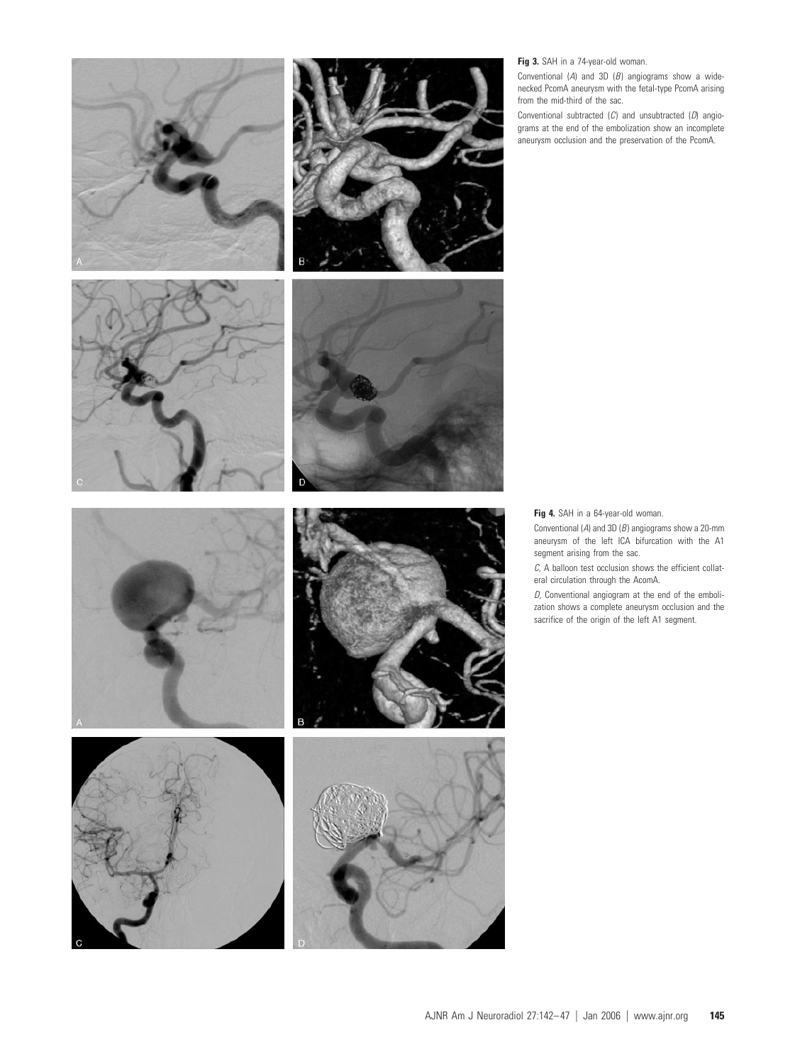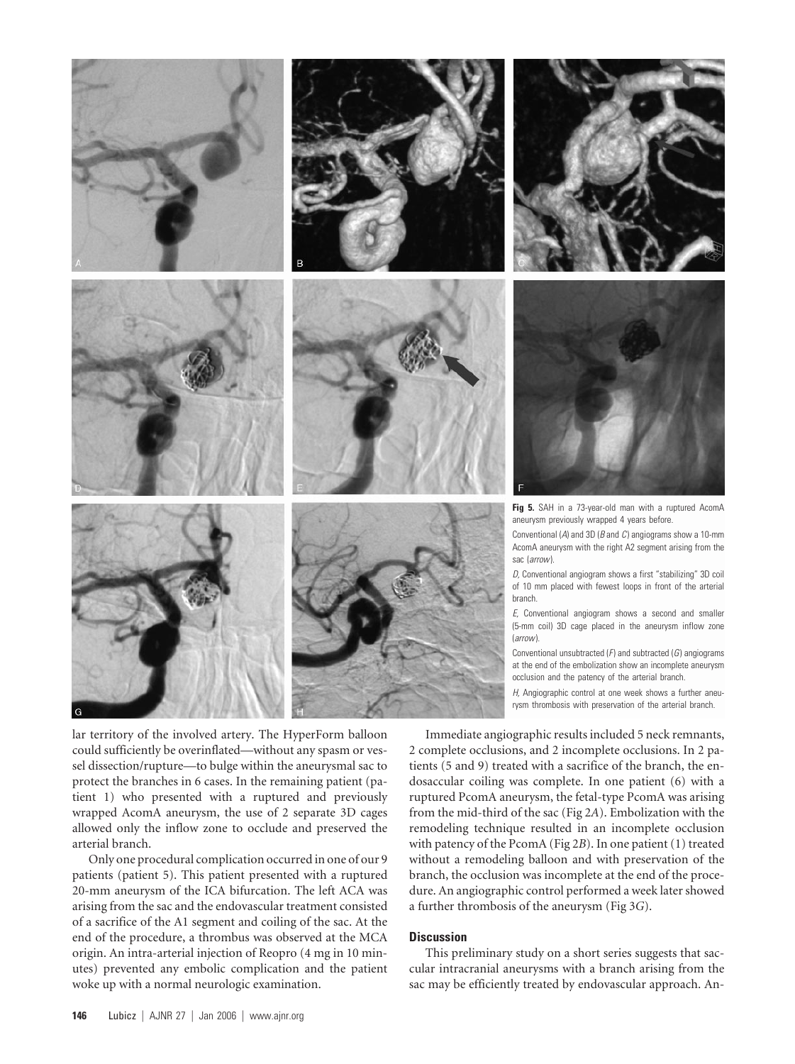





lar territory of the involved artery. The HyperForm balloon could sufficiently be overinflated—without any spasm or vessel dissection/rupture—to bulge within the aneurysmal sac to protect the branches in 6 cases. In the remaining patient (patient 1) who presented with a ruptured and previously wrapped AcomA aneurysm, the use of 2 separate 3D cages allowed only the inflow zone to occlude and preserved the arterial branch.

Only one procedural complication occurred in one of our 9 patients (patient 5). This patient presented with a ruptured 20-mm aneurysm of the ICA bifurcation. The left ACA was arising from the sac and the endovascular treatment consisted of a sacrifice of the A1 segment and coiling of the sac. At the end of the procedure, a thrombus was observed at the MCA origin. An intra-arterial injection of Reopro (4 mg in 10 minutes) prevented any embolic complication and the patient woke up with a normal neurologic examination.





**Fig 5.** SAH in a 73-year-old man with a ruptured AcomA aneurysm previously wrapped 4 years before.

Conventional (*A*) and 3D (*B* and *C*) angiograms show a 10-mm AcomA aneurysm with the right A2 segment arising from the sac (*arrow*).

*D,* Conventional angiogram shows a first "stabilizing" 3D coil of 10 mm placed with fewest loops in front of the arterial branch.

*E,* Conventional angiogram shows a second and smaller (5-mm coil) 3D cage placed in the aneurysm inflow zone (*arrow*).

Conventional unsubtracted (*F*) and subtracted (*G*) angiograms at the end of the embolization show an incomplete aneurysm occlusion and the patency of the arterial branch.

*H,* Angiographic control at one week shows a further aneurysm thrombosis with preservation of the arterial branch.

Immediate angiographic results included 5 neck remnants, 2 complete occlusions, and 2 incomplete occlusions. In 2 patients (5 and 9) treated with a sacrifice of the branch, the endosaccular coiling was complete. In one patient (6) with a ruptured PcomA aneurysm, the fetal-type PcomA was arising from the mid-third of the sac (Fig 2*A*). Embolization with the remodeling technique resulted in an incomplete occlusion with patency of the PcomA (Fig 2*B*). In one patient (1) treated without a remodeling balloon and with preservation of the branch, the occlusion was incomplete at the end of the procedure. An angiographic control performed a week later showed a further thrombosis of the aneurysm (Fig 3*G*).

## **Discussion**

This preliminary study on a short series suggests that saccular intracranial aneurysms with a branch arising from the sac may be efficiently treated by endovascular approach. An